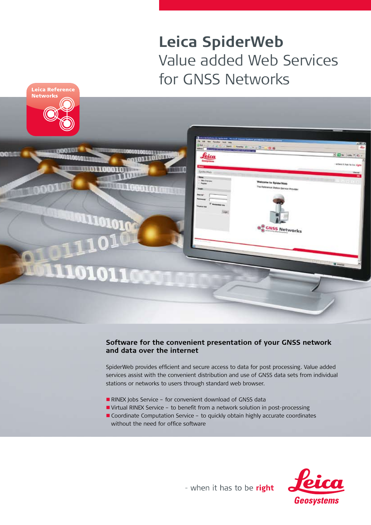# **Leica SpiderWeb** Value added Web Services for GNSS Networks



## **Software for the convenient presentation of your GNSS network and data over the internet**

SpiderWeb provides efficient and secure access to data for post processing. Value added services assist with the convenient distribution and use of GNSS data sets from individual stations or networks to users through standard web browser.

- RINEX Jobs Service for convenient download of GNSS data
- n Virtual RINEX Service to benefit from a network solution in post-processing
- Coordinate Computation Service to quickly obtain highly accurate coordinates without the need for office software



- when it has to be right